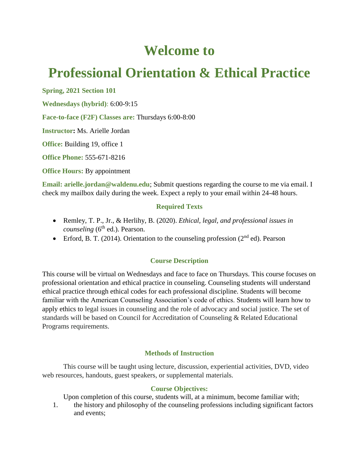# **Welcome to**

# **Professional Orientation & Ethical Practice**

**Spring, 2021 Section 101**

**Wednesdays (hybrid)**: 6:00-9:15

**Face-to-face (F2F) Classes are:** Thursdays 6:00-8:00

**Instructor:** Ms. Arielle Jordan

**Office:** Building 19, office 1

**Office Phone:** 555-671-8216

**Office Hours:** By appointment

**Email:** arielle.jordan@waldenu.edu; Submit questions regarding the course to me via email. I check my mailbox daily during the week. Expect a reply to your email within 24-48 hours.

## **Required Texts**

- Remley, T. P., Jr., & Herlihy, B. (2020). *Ethical, legal, and professional issues in counseling* (6<sup>th</sup> ed.). Pearson.
- Frford, B. T. (2014). Orientation to the counseling profession ( $2<sup>nd</sup>$  ed). Pearson

## **Course Description**

This course will be virtual on Wednesdays and face to face on Thursdays. This course focuses on professional orientation and ethical practice in counseling. Counseling students will understand ethical practice through ethical codes for each professional discipline. Students will become familiar with the American Counseling Association's code of ethics. Students will learn how to apply ethics to legal issues in counseling and the role of advocacy and social justice. The set of standards will be based on Council for Accreditation of Counseling & Related Educational Programs requirements.

#### **Methods of Instruction**

This course will be taught using lecture, discussion, experiential activities, DVD, video web resources, handouts, guest speakers, or supplemental materials.

#### **Course Objectives:**

Upon completion of this course, students will, at a minimum, become familiar with;

1. the history and philosophy of the counseling professions including significant factors and events;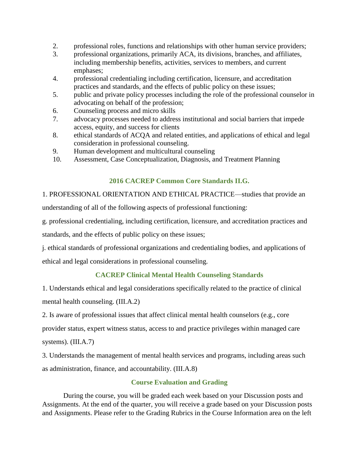- 2. professional roles, functions and relationships with other human service providers;
- 3. professional organizations, primarily ACA, its divisions, branches, and affiliates, including membership benefits, activities, services to members, and current emphases;
- 4. professional credentialing including certification, licensure, and accreditation practices and standards, and the effects of public policy on these issues;
- 5. public and private policy processes including the role of the professional counselor in advocating on behalf of the profession;
- 6. Counseling process and micro skills
- 7. advocacy processes needed to address institutional and social barriers that impede access, equity, and success for clients
- 8. ethical standards of ACQA and related entities, and applications of ethical and legal consideration in professional counseling.
- 9. Human development and multicultural counseling
- 10. Assessment, Case Conceptualization, Diagnosis, and Treatment Planning

## **2016 CACREP Common Core Standards II.G.**

1. PROFESSIONAL ORIENTATION AND ETHICAL PRACTICE—studies that provide an understanding of all of the following aspects of professional functioning:

g. professional credentialing, including certification, licensure, and accreditation practices and standards, and the effects of public policy on these issues;

j. ethical standards of professional organizations and credentialing bodies, and applications of ethical and legal considerations in professional counseling.

## **CACREP Clinical Mental Health Counseling Standards**

1. Understands ethical and legal considerations specifically related to the practice of clinical mental health counseling. (III.A.2)

2. Is aware of professional issues that affect clinical mental health counselors (e.g., core

provider status, expert witness status, access to and practice privileges within managed care systems). (III.A.7)

3. Understands the management of mental health services and programs, including areas such as administration, finance, and accountability. (III.A.8)

## **Course Evaluation and Grading**

During the course, you will be graded each week based on your Discussion posts and Assignments. At the end of the quarter, you will receive a grade based on your Discussion posts and Assignments. Please refer to the Grading Rubrics in the Course Information area on the left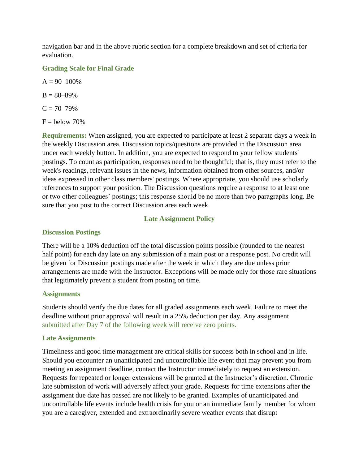navigation bar and in the above rubric section for a complete breakdown and set of criteria for evaluation.

#### **Grading Scale for Final Grade**

 $A = 90 - 100\%$  $B = 80 - 89\%$ 

$$
C = 70 - 79\%
$$

 $F =$  below 70%

**Requirements:** When assigned, you are expected to participate at least 2 separate days a week in the weekly Discussion area. Discussion topics/questions are provided in the Discussion area under each weekly button. In addition, you are expected to respond to your fellow students' postings. To count as participation, responses need to be thoughtful; that is, they must refer to the week's readings, relevant issues in the news, information obtained from other sources, and/or ideas expressed in other class members' postings. Where appropriate, you should use scholarly references to support your position. The Discussion questions require a response to at least one or two other colleagues' postings; this response should be no more than two paragraphs long. Be sure that you post to the correct Discussion area each week.

## **Late Assignment Policy**

#### **Discussion Postings**

There will be a 10% deduction off the total discussion points possible (rounded to the nearest half point) for each day late on any submission of a main post or a response post. No credit will be given for Discussion postings made after the week in which they are due unless prior arrangements are made with the Instructor. Exceptions will be made only for those rare situations that legitimately prevent a student from posting on time.

#### **Assignments**

Students should verify the due dates for all graded assignments each week. Failure to meet the deadline without prior approval will result in a 25% deduction per day. Any assignment submitted after Day 7 of the following week will receive zero points.

## **Late Assignments**

Timeliness and good time management are critical skills for success both in school and in life. Should you encounter an unanticipated and uncontrollable life event that may prevent you from meeting an assignment deadline, contact the Instructor immediately to request an extension. Requests for repeated or longer extensions will be granted at the Instructor's discretion. Chronic late submission of work will adversely affect your grade. Requests for time extensions after the assignment due date has passed are not likely to be granted. Examples of unanticipated and uncontrollable life events include health crisis for you or an immediate family member for whom you are a caregiver, extended and extraordinarily severe weather events that disrupt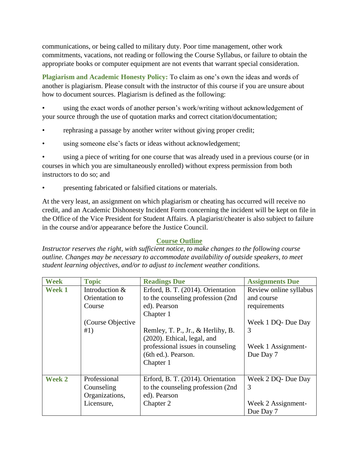communications, or being called to military duty. Poor time management, other work commitments, vacations, not reading or following the Course Syllabus, or failure to obtain the appropriate books or computer equipment are not events that warrant special consideration.

**Plagiarism and Academic Honesty Policy:** To claim as one's own the ideas and words of another is plagiarism. Please consult with the instructor of this course if you are unsure about how to document sources. Plagiarism is defined as the following:

using the exact words of another person's work/writing without acknowledgement of your source through the use of quotation marks and correct citation/documentation;

- rephrasing a passage by another writer without giving proper credit;
- using someone else's facts or ideas without acknowledgement;

using a piece of writing for one course that was already used in a previous course (or in courses in which you are simultaneously enrolled) without express permission from both instructors to do so; and

• presenting fabricated or falsified citations or materials.

At the very least, an assignment on which plagiarism or cheating has occurred will receive no credit, and an Academic Dishonesty Incident Form concerning the incident will be kept on file in the Office of the Vice President for Student Affairs. A plagiarist/cheater is also subject to failure in the course and/or appearance before the Justice Council.

## **Course Outline**

*Instructor reserves the right, with sufficient notice, to make changes to the following course outline. Changes may be necessary to accommodate availability of outside speakers, to meet student learning objectives, and/or to adjust to inclement weather conditions.*

| <b>Week</b>   | <b>Topic</b>       | <b>Readings Due</b>                | <b>Assignments Due</b> |
|---------------|--------------------|------------------------------------|------------------------|
| <b>Week 1</b> | Introduction &     | Erford, B. T. (2014). Orientation  | Review online syllabus |
|               | Orientation to     | to the counseling profession (2nd  | and course             |
|               | Course             | ed). Pearson                       | requirements           |
|               |                    | Chapter 1                          |                        |
|               | (Course Objective) |                                    | Week 1 DQ- Due Day     |
|               | #1)                | Remley, T. P., Jr., & Herlihy, B.  | 3                      |
|               |                    | (2020). Ethical, legal, and        |                        |
|               |                    | professional issues in counseling  | Week 1 Assignment-     |
|               |                    | (6th ed.). Pearson.                | Due Day 7              |
|               |                    | Chapter 1                          |                        |
|               |                    |                                    |                        |
| <b>Week 2</b> | Professional       | Erford, B. T. (2014). Orientation  | Week 2 DQ- Due Day     |
|               | Counseling         | to the counseling profession (2nd) | 3                      |
|               | Organizations,     | ed). Pearson                       |                        |
|               | Licensure,         | Chapter 2                          | Week 2 Assignment-     |
|               |                    |                                    | Due Day 7              |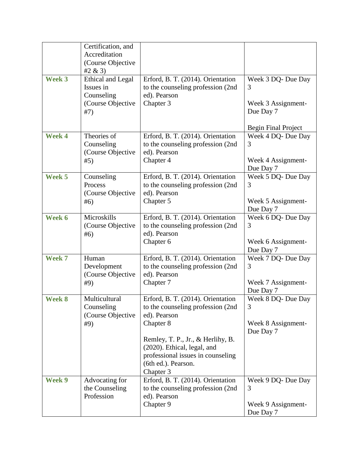|        | Certification, and<br>Accreditation                     |                                                                                                                                          |                                                                         |
|--------|---------------------------------------------------------|------------------------------------------------------------------------------------------------------------------------------------------|-------------------------------------------------------------------------|
|        | (Course Objective<br>#2 & (3)                           |                                                                                                                                          |                                                                         |
| Week 3 | Ethical and Legal<br>Issues in<br>Counseling            | Erford, B. T. (2014). Orientation<br>to the counseling profession (2nd<br>ed). Pearson                                                   | Week 3 DQ- Due Day<br>3                                                 |
|        | (Course Objective<br>#7)                                | Chapter 3                                                                                                                                | Week 3 Assignment-<br>Due Day 7                                         |
| Week 4 | Theories of<br>Counseling<br>(Course Objective          | Erford, B. T. (2014). Orientation<br>to the counseling profession (2nd<br>ed). Pearson                                                   | <b>Begin Final Project</b><br>Week 4 DQ- Due Day<br>3                   |
|        | #5)                                                     | Chapter 4                                                                                                                                | Week 4 Assignment-<br>Due Day 7                                         |
| Week 5 | Counseling<br>Process<br>(Course Objective<br>#6)       | Erford, B. T. (2014). Orientation<br>to the counseling profession (2nd)<br>ed). Pearson<br>Chapter 5                                     | Week 5 DQ- Due Day<br>3<br>Week 5 Assignment-<br>Due Day 7              |
| Week 6 | Microskills<br>(Course Objective<br>#6)                 | Erford, B. T. (2014). Orientation<br>to the counseling profession (2nd<br>ed). Pearson<br>Chapter 6                                      | Week 6 DQ- Due Day<br>3<br>Week 6 Assignment-                           |
| Week 7 | Human<br>Development<br>(Course Objective<br>#9)        | Erford, B. T. (2014). Orientation<br>to the counseling profession (2nd<br>ed). Pearson<br>Chapter 7                                      | Due Day 7<br>Week 7 DQ- Due Day<br>3<br>Week 7 Assignment-              |
| Week 8 | Multicultural<br>Counseling<br>(Course Objective<br>#9) | Erford, B. T. (2014). Orientation<br>to the counseling profession (2nd<br>ed). Pearson<br>Chapter 8<br>Remley, T. P., Jr., & Herlihy, B. | Due Day 7<br>Week 8 DQ- Due Day<br>3<br>Week 8 Assignment-<br>Due Day 7 |
|        |                                                         | (2020). Ethical, legal, and<br>professional issues in counseling<br>(6th ed.). Pearson.<br>Chapter 3                                     |                                                                         |
| Week 9 | Advocating for<br>the Counseling<br>Profession          | Erford, B. T. (2014). Orientation<br>to the counseling profession (2nd<br>ed). Pearson<br>Chapter 9                                      | Week 9 DQ- Due Day<br>3<br>Week 9 Assignment-<br>Due Day 7              |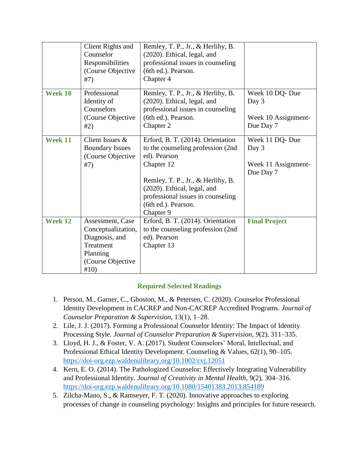|                | <b>Client Rights and</b><br>Counselor<br>Responsibilities<br>(Course Objective<br>#7)                          | Remley, T. P., Jr., & Herlihy, B.<br>(2020). Ethical, legal, and<br>professional issues in counseling<br>(6th ed.). Pearson.<br>Chapter 4                                                                                                         |                                                             |
|----------------|----------------------------------------------------------------------------------------------------------------|---------------------------------------------------------------------------------------------------------------------------------------------------------------------------------------------------------------------------------------------------|-------------------------------------------------------------|
| Week 10        | Professional<br>Identity of<br>Counselors<br>(Course Objective<br>#2)                                          | Remley, T. P., Jr., & Herlihy, B.<br>(2020). Ethical, legal, and<br>professional issues in counseling<br>(6th ed.). Pearson.<br>Chapter 2                                                                                                         | Week 10 DQ-Due<br>Day 3<br>Week 10 Assignment-<br>Due Day 7 |
| <b>Week 11</b> | Client Issues &<br><b>Boundary Issues</b><br>(Course Objective<br>#7)                                          | Erford, B. T. (2014). Orientation<br>to the counseling profession (2nd<br>ed). Pearson<br>Chapter 12<br>Remley, T. P., Jr., & Herlihy, B.<br>(2020). Ethical, legal, and<br>professional issues in counseling<br>(6th ed.). Pearson.<br>Chapter 9 | Week 11 DQ-Due<br>Day 3<br>Week 11 Assignment-<br>Due Day 7 |
| <b>Week 12</b> | Assessment, Case<br>Conceptualization,<br>Diagnosis, and<br>Treatment<br>Planning<br>(Course Objective<br>#10) | Erford, B. T. (2014). Orientation<br>to the counseling profession (2nd)<br>ed). Pearson<br>Chapter 13                                                                                                                                             | <b>Final Project</b>                                        |

## **Required Selected Readings**

- 1. Person, M., Garner, C., Ghoston, M., & Petersen, C. (2020). Counselor Professional Identity Development in CACREP and Non-CACREP Accredited Programs. *Journal of Counselor Preparation & Supervision*, 13(1), 1–28.
- 2. Lile, J. J. (2017). Forming a Professional Counselor Identity: The Impact of Identity Processing Style. *Journal of Counselor Preparation & Supervision*, *9*(2), 311–335.
- 3. Lloyd, H. J., & Foster, V. A. (2017). Student Counselors' Moral, Intellectual, and Professional Ethical Identity Development. Counseling & Values, 62(1), 90–105. <https://doi-org.ezp.waldenulibrary.org/10.1002/cvj.12051>
- 4. Kern, E. O. (2014). The Pathologized Counselor: Effectively Integrating Vulnerability and Professional Identity. *Journal of Creativity in Mental Health*, 9(2), 304–316. <https://doi-org.ezp.waldenulibrary.org/10.1080/15401383.2013.854189>
- 5. Zilcha-Mano, S., & Ramseyer, F. T. (2020). Innovative approaches to exploring processes of change in counseling psychology: Insights and principles for future research.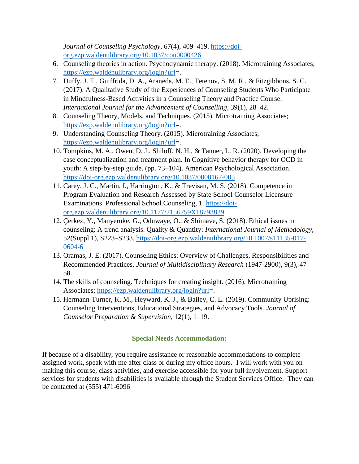*Journal of Counseling Psychology*, 67(4), 409–419. [https://doi](https://doi-org.ezp.waldenulibrary.org/10.1037/cou0000426)[org.ezp.waldenulibrary.org/10.1037/cou0000426](https://doi-org.ezp.waldenulibrary.org/10.1037/cou0000426)

- 6. Counseling theories in action. Psychodynamic therapy. (2018). Microtraining Associates; [https://ezp.waldenulibrary.org/login?url=](https://ezp.waldenulibrary.org/login?url).
- 7. Duffy, J. T., Guiffrida, D. A., Araneda, M. E., Tetenov, S. M. R., & Fitzgibbons, S. C. (2017). A Qualitative Study of the Experiences of Counseling Students Who Participate in Mindfulness-Based Activities in a Counseling Theory and Practice Course. *International Journal for the Advancement of Counselling*, 39(1), 28–42.
- 8. Counseling Theory, Models, and Techniques. (2015). Microtraining Associates; [https://ezp.waldenulibrary.org/login?url=](https://ezp.waldenulibrary.org/login?url).
- 9. Understanding Counseling Theory. (2015). Microtraining Associates; [https://ezp.waldenulibrary.org/login?url=](https://ezp.waldenulibrary.org/login?url).
- 10. Tompkins, M. A., Owen, D. J., Shiloff, N. H., & Tanner, L. R. (2020). Developing the case conceptualization and treatment plan. In Cognitive behavior therapy for OCD in youth: A step-by-step guide. (pp. 73–104). American Psychological Association. <https://doi-org.ezp.waldenulibrary.org/10.1037/0000167-005>
- 11. Carey, J. C., Martin, I., Harrington, K., & Trevisan, M. S. (2018). Competence in Program Evaluation and Research Assessed by State School Counselor Licensure Examinations. Professional School Counseling, 1. [https://doi](https://doi-org.ezp.waldenulibrary.org/10.1177/2156759X18793839)[org.ezp.waldenulibrary.org/10.1177/2156759X18793839](https://doi-org.ezp.waldenulibrary.org/10.1177/2156759X18793839)
- 12. Çerkez, Y., Manyeruke, G., Oduwaye, O., & Shimave, S. (2018). Ethical issues in counseling: A trend analysis. Quality & Quantity: *International Journal of Methodology*, 52(Suppl 1), S223–S233. [https://doi-org.ezp.waldenulibrary.org/10.1007/s11135-017-](https://doi-org.ezp.waldenulibrary.org/10.1007/s11135-017-0604-6) [0604-6](https://doi-org.ezp.waldenulibrary.org/10.1007/s11135-017-0604-6)
- 13. Oramas, J. E. (2017). Counseling Ethics: Overview of Challenges, Responsibilities and Recommended Practices. *Journal of Multidisciplinary Research* (1947-2900), 9(3), 47– 58.
- 14. The skills of counseling. Techniques for creating insight. (2016). Microtraining Associates; [https://ezp.waldenulibrary.org/login?url=](https://ezp.waldenulibrary.org/login?url).
- 15. Hermann-Turner, K. M., Heyward, K. J., & Bailey, C. L. (2019). Community Uprising: Counseling Interventions, Educational Strategies, and Advocacy Tools. *Journal of Counselor Preparation & Supervision*, 12(1), 1–19.

## **Special Needs Accommodation:**

If because of a disability, you require assistance or reasonable accommodations to complete assigned work, speak with me after class or during my office hours. I will work with you on making this course, class activities, and exercise accessible for your full involvement. Support services for students with disabilities is available through the Student Services Office. They can be contacted at (555) 471-6096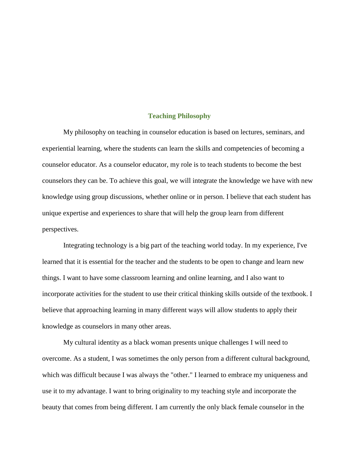#### **Teaching Philosophy**

My philosophy on teaching in counselor education is based on lectures, seminars, and experiential learning, where the students can learn the skills and competencies of becoming a counselor educator. As a counselor educator, my role is to teach students to become the best counselors they can be. To achieve this goal, we will integrate the knowledge we have with new knowledge using group discussions, whether online or in person. I believe that each student has unique expertise and experiences to share that will help the group learn from different perspectives.

Integrating technology is a big part of the teaching world today. In my experience, I've learned that it is essential for the teacher and the students to be open to change and learn new things. I want to have some classroom learning and online learning, and I also want to incorporate activities for the student to use their critical thinking skills outside of the textbook. I believe that approaching learning in many different ways will allow students to apply their knowledge as counselors in many other areas.

My cultural identity as a black woman presents unique challenges I will need to overcome. As a student, I was sometimes the only person from a different cultural background, which was difficult because I was always the "other." I learned to embrace my uniqueness and use it to my advantage. I want to bring originality to my teaching style and incorporate the beauty that comes from being different. I am currently the only black female counselor in the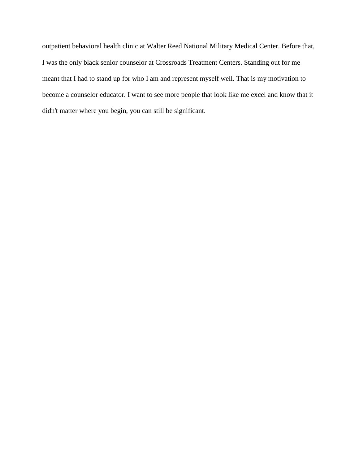outpatient behavioral health clinic at Walter Reed National Military Medical Center. Before that, I was the only black senior counselor at Crossroads Treatment Centers. Standing out for me meant that I had to stand up for who I am and represent myself well. That is my motivation to become a counselor educator. I want to see more people that look like me excel and know that it didn't matter where you begin, you can still be significant.